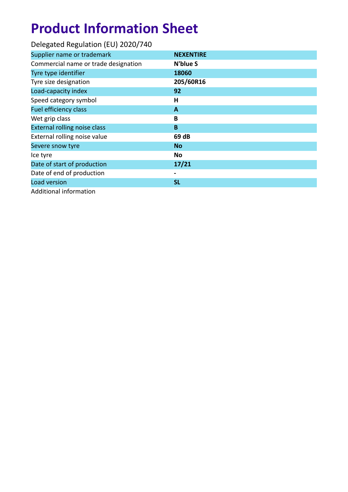# **Product Information Sheet**

| Delegated Regulation (EU) 2020/740   |                  |
|--------------------------------------|------------------|
| Supplier name or trademark           | <b>NEXENTIRE</b> |
| Commercial name or trade designation | N'blue S         |
| Tyre type identifier                 | 18060            |
| Tyre size designation                | 205/60R16        |
| Load-capacity index                  | 92               |
| Speed category symbol                | н                |
| <b>Fuel efficiency class</b>         | A                |
| Wet grip class                       | B                |
| External rolling noise class         | B                |
| External rolling noise value         | 69 dB            |
| Severe snow tyre                     | <b>No</b>        |
| Ice tyre                             | No               |
| Date of start of production          | 17/21            |
| Date of end of production            |                  |
| Load version                         | <b>SL</b>        |
| Additional information               |                  |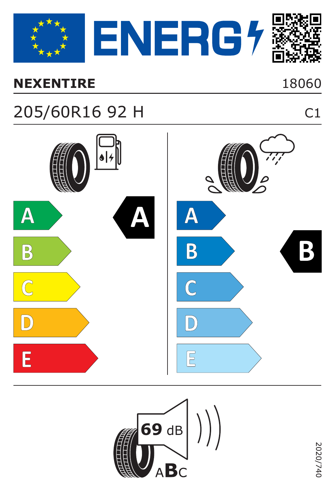

#### **NEXENTIRE**

## 18060

 $C1$ 

## 205/60R16 92 H



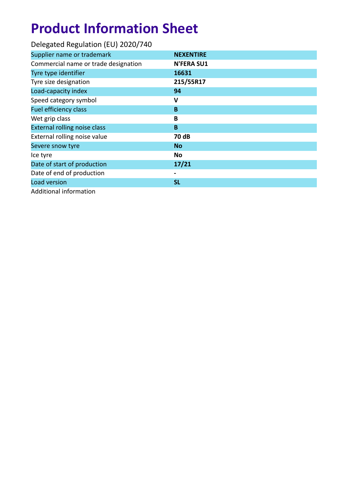# **Product Information Sheet**

| Delegated Regulation (EU) 2020/740   |                   |
|--------------------------------------|-------------------|
| Supplier name or trademark           | <b>NEXENTIRE</b>  |
| Commercial name or trade designation | <b>N'FERA SU1</b> |
| Tyre type identifier                 | 16631             |
| Tyre size designation                | 215/55R17         |
| Load-capacity index                  | 94                |
| Speed category symbol                | v                 |
| <b>Fuel efficiency class</b>         | B                 |
| Wet grip class                       | B                 |
| <b>External rolling noise class</b>  | B                 |
| External rolling noise value         | 70 dB             |
| Severe snow tyre                     | <b>No</b>         |
| Ice tyre                             | No                |
| Date of start of production          | 17/21             |
| Date of end of production            |                   |
| Load version                         | <b>SL</b>         |
| Additional information               |                   |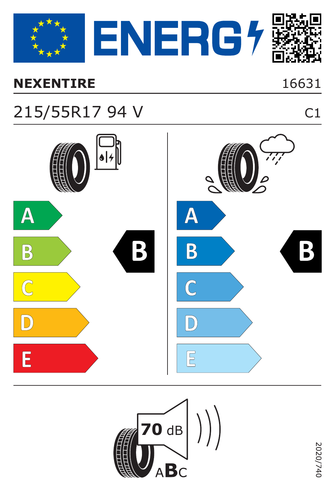

### **NEXENTIRE** 16631

## 215/55R17 94 V C1